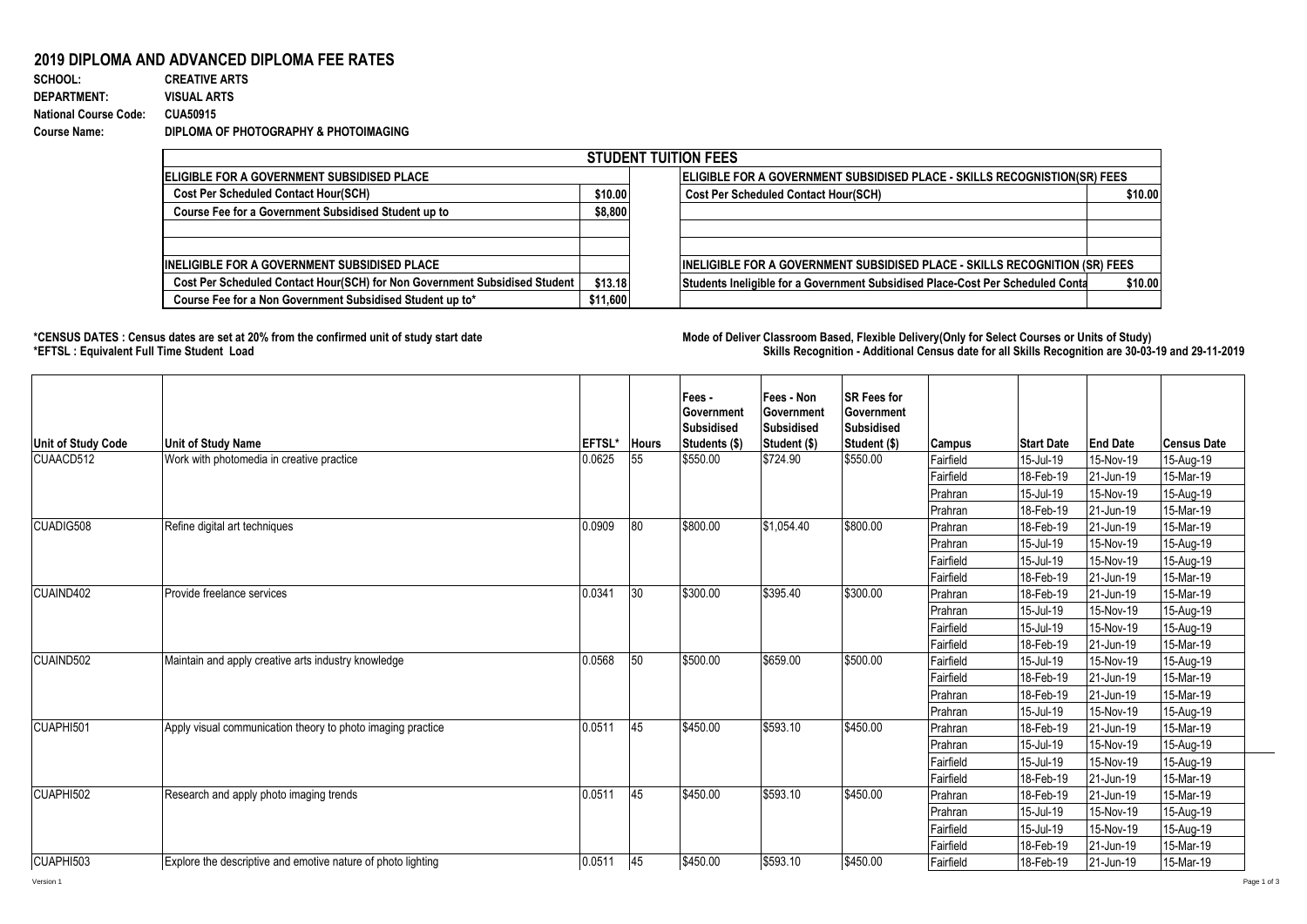## **2019 DIPLOMA AND ADVANCED DIPLOMA FEE RATES**

| SCHOOL:                      | <b>CREATIVE ARTS</b>                  |
|------------------------------|---------------------------------------|
| <b>DEPARTMENT:</b>           | <b>VISUAL ARTS</b>                    |
| <b>National Course Code:</b> | <b>CUA50915</b>                       |
| <b>Course Name:</b>          | DIPLOMA OF PHOTOGRAPHY & PHOTOIMAGING |

| <b>STUDENT TUITION FEES</b>                                                |          |                                                                                  |                                                                                    |         |  |  |  |  |
|----------------------------------------------------------------------------|----------|----------------------------------------------------------------------------------|------------------------------------------------------------------------------------|---------|--|--|--|--|
| <b>IELIGIBLE FOR A GOVERNMENT SUBSIDISED PLACE</b>                         |          | <b>ELIGIBLE FOR A GOVERNMENT SUBSIDISED PLACE - SKILLS RECOGNISTION(SR) FEES</b> |                                                                                    |         |  |  |  |  |
| <b>Cost Per Scheduled Contact Hour(SCH)</b><br>\$10.00                     |          | <b>Cost Per Scheduled Contact Hour(SCH)</b>                                      |                                                                                    | \$10.00 |  |  |  |  |
| Course Fee for a Government Subsidised Student up to                       |          |                                                                                  |                                                                                    |         |  |  |  |  |
|                                                                            |          |                                                                                  |                                                                                    |         |  |  |  |  |
|                                                                            |          |                                                                                  |                                                                                    |         |  |  |  |  |
| <b>INELIGIBLE FOR A GOVERNMENT SUBSIDISED PLACE</b>                        |          |                                                                                  | <b>INELIGIBLE FOR A GOVERNMENT SUBSIDISED PLACE - SKILLS RECOGNITION (SR) FEES</b> |         |  |  |  |  |
| Cost Per Scheduled Contact Hour(SCH) for Non Government Subsidised Student | \$13.18  |                                                                                  | Students Ineligible for a Government Subsidised Place-Cost Per Scheduled Conta     | \$10.00 |  |  |  |  |
| Course Fee for a Non Government Subsidised Student up to*                  | \$11,600 |                                                                                  |                                                                                    |         |  |  |  |  |

**\*CENSUS DATES : Census dates are set at 20% from the confirmed unit of study start date Mode of Delivery:Classroom Based, Flexible Delivery(Only for Select Courses or Units of Study) \*EFTSL : Equivalent Full Time Student Load Skills Recognition - Additional Census date for all Skills Recognition are 30-03-19 and 29-11-2019** 

| <b>Unit of Study Code</b> | <b>Unit of Study Name</b>                                    | EFTSL* | <b>Hours</b> | Fees -<br><b>Government</b><br>Subsidised<br>Students (\$) | Fees - Non<br>Government<br><b>Subsidised</b><br>Student (\$) | <b>SR Fees for</b><br>Government<br><b>Subsidised</b><br>Student (\$) | <b>Campus</b> | <b>Start Date</b> | <b>End Date</b> | <b>Census Date</b> |
|---------------------------|--------------------------------------------------------------|--------|--------------|------------------------------------------------------------|---------------------------------------------------------------|-----------------------------------------------------------------------|---------------|-------------------|-----------------|--------------------|
| CUAACD512                 | Work with photomedia in creative practice                    | 0.0625 | 55           | \$550.00                                                   | \$724.90                                                      | \$550.00                                                              | Fairfield     | 15-Jul-19         | 15-Nov-19       | 15-Aug-19          |
|                           |                                                              |        |              |                                                            |                                                               |                                                                       | Fairfield     | 18-Feb-19         | 21-Jun-19       | 15-Mar-19          |
|                           |                                                              |        |              |                                                            |                                                               |                                                                       | Prahran       | 15-Jul-19         | 15-Nov-19       | 15-Aug-19          |
|                           |                                                              |        |              |                                                            |                                                               |                                                                       | Prahran       | 18-Feb-19         | 21-Jun-19       | 15-Mar-19          |
| CUADIG508                 | Refine digital art techniques                                | 0.0909 | 80           | \$800.00                                                   | $\overline{$1,054.40}$                                        | \$800.00                                                              | Prahran       | 18-Feb-19         | 21-Jun-19       | 15-Mar-19          |
|                           |                                                              |        |              |                                                            |                                                               |                                                                       | Prahran       | 15-Jul-19         | 15-Nov-19       | 15-Aug-19          |
|                           |                                                              |        |              |                                                            |                                                               |                                                                       | Fairfield     | 15-Jul-19         | 15-Nov-19       | 15-Aug-19          |
|                           |                                                              |        |              |                                                            |                                                               |                                                                       | Fairfield     | 18-Feb-19         | 21-Jun-19       | 15-Mar-19          |
| CUAIND402                 | Provide freelance services                                   | 0.0341 | 30           | \$300.00                                                   | \$395.40                                                      | \$300.00                                                              | Prahran       | 18-Feb-19         | 21-Jun-19       | 15-Mar-19          |
|                           |                                                              |        |              |                                                            |                                                               |                                                                       | Prahran       | 15-Jul-19         | 15-Nov-19       | 15-Aug-19          |
|                           |                                                              |        |              |                                                            |                                                               |                                                                       | Fairfield     | 15-Jul-19         | 15-Nov-19       | 15-Aug-19          |
|                           |                                                              |        |              |                                                            |                                                               |                                                                       | Fairfield     | 18-Feb-19         | 21-Jun-19       | 15-Mar-19          |
| CUAIND502                 | Maintain and apply creative arts industry knowledge          | 0.0568 | 50           | \$500.00                                                   | \$659.00                                                      | \$500.00                                                              | Fairfield     | 15-Jul-19         | 15-Nov-19       | 15-Aug-19          |
|                           |                                                              |        |              |                                                            |                                                               |                                                                       | Fairfield     | 18-Feb-19         | 21-Jun-19       | 15-Mar-19          |
|                           |                                                              |        |              |                                                            |                                                               |                                                                       | Prahran       | 18-Feb-19         | 21-Jun-19       | 15-Mar-19          |
|                           |                                                              |        |              |                                                            |                                                               |                                                                       | Prahran       | 15-Jul-19         | 15-Nov-19       | 15-Aug-19          |
| CUAPHI501                 | Apply visual communication theory to photo imaging practice  | 0.0511 | 45           | \$450.00                                                   | \$593.10                                                      | \$450.00                                                              | Prahran       | 18-Feb-19         | 21-Jun-19       | 15-Mar-19          |
|                           |                                                              |        |              |                                                            |                                                               |                                                                       | Prahran       | 15-Jul-19         | 15-Nov-19       | 15-Aug-19          |
|                           |                                                              |        |              |                                                            |                                                               |                                                                       | Fairfield     | 15-Jul-19         | 15-Nov-19       | 15-Aug-19          |
|                           |                                                              |        |              |                                                            |                                                               |                                                                       | Fairfield     | 18-Feb-19         | 21-Jun-19       | 15-Mar-19          |
| CUAPHI502                 | Research and apply photo imaging trends                      | 0.0511 | 45           | \$450.00                                                   | \$593.10                                                      | \$450.00                                                              | Prahran       | 18-Feb-19         | 21-Jun-19       | 15-Mar-19          |
|                           |                                                              |        |              |                                                            |                                                               |                                                                       | Prahran       | 15-Jul-19         | 15-Nov-19       | 15-Aug-19          |
|                           |                                                              |        |              |                                                            |                                                               |                                                                       | Fairfield     | 15-Jul-19         | 15-Nov-19       | 15-Aug-19          |
|                           |                                                              |        |              |                                                            |                                                               |                                                                       | Fairfield     | 18-Feb-19         | 21-Jun-19       | 15-Mar-19          |
| CUAPHI503                 | Explore the descriptive and emotive nature of photo lighting | 0.0511 | 45           | \$450.00                                                   | \$593.10                                                      | \$450.00                                                              | Fairfield     | 18-Feb-19         | 21-Jun-19       | 15-Mar-19          |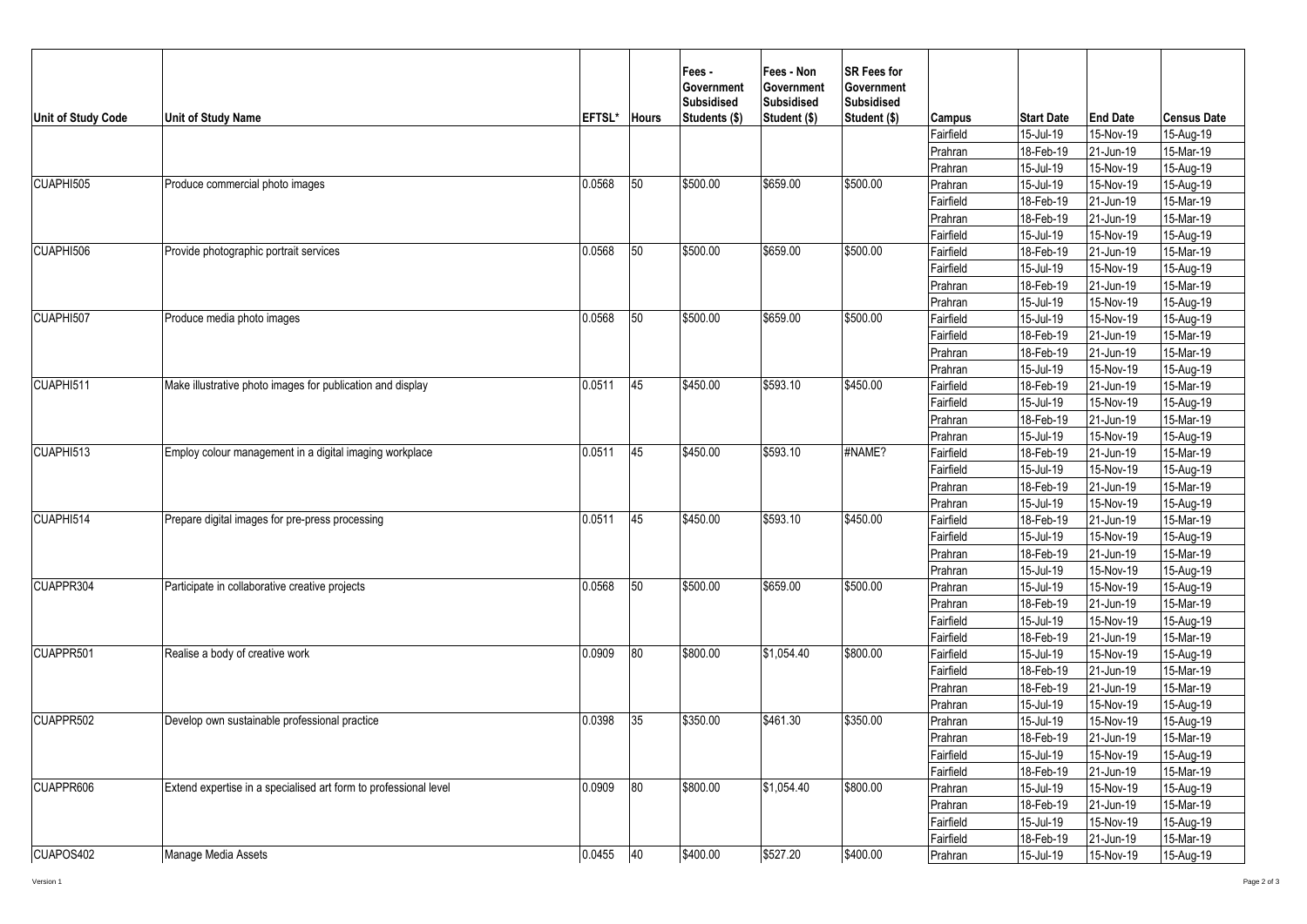| Unit of Study Code | <b>Unit of Study Name</b>                                        | EFTSL* | <b>Hours</b> | Fees -<br>Government<br><b>Subsidised</b><br>Students (\$) | Fees - Non<br>Government<br><b>Subsidised</b><br>Student (\$) | <b>SR Fees for</b><br><b>Government</b><br><b>Subsidised</b><br>Student (\$) | <b>Campus</b> | <b>Start Date</b> | <b>End Date</b> | <b>Census Date</b> |
|--------------------|------------------------------------------------------------------|--------|--------------|------------------------------------------------------------|---------------------------------------------------------------|------------------------------------------------------------------------------|---------------|-------------------|-----------------|--------------------|
|                    |                                                                  |        |              |                                                            |                                                               |                                                                              | Fairfield     | 15-Jul-19         | 15-Nov-19       | 15-Aug-19          |
|                    |                                                                  |        |              |                                                            |                                                               |                                                                              | Prahran       | 18-Feb-19         | 21-Jun-19       | 15-Mar-19          |
|                    |                                                                  |        |              |                                                            |                                                               |                                                                              | Prahran       | 15-Jul-19         | 15-Nov-19       | 15-Aug-19          |
| CUAPHI505          | Produce commercial photo images                                  | 0.0568 | 50           | \$500.00                                                   | \$659.00                                                      | \$500.00                                                                     | Prahran       | 15-Jul-19         | 15-Nov-19       | 15-Aug-19          |
|                    |                                                                  |        |              |                                                            |                                                               |                                                                              | Fairfield     | 18-Feb-19         | 21-Jun-19       | 15-Mar-19          |
|                    |                                                                  |        |              |                                                            |                                                               |                                                                              | Prahran       | 18-Feb-19         | 21-Jun-19       | 15-Mar-19          |
|                    |                                                                  |        |              |                                                            |                                                               |                                                                              | Fairfield     | 15-Jul-19         | 15-Nov-19       | 15-Aug-19          |
| CUAPHI506          | Provide photographic portrait services                           | 0.0568 | 50           | \$500.00                                                   | \$659.00                                                      | \$500.00                                                                     | Fairfield     | 18-Feb-19         | 21-Jun-19       | 15-Mar-19          |
|                    |                                                                  |        |              |                                                            |                                                               |                                                                              | Fairfield     | 15-Jul-19         | 15-Nov-19       | 15-Aug-19          |
|                    |                                                                  |        |              |                                                            |                                                               |                                                                              | Prahran       | 18-Feb-19         | 21-Jun-19       | 15-Mar-19          |
|                    |                                                                  |        |              |                                                            |                                                               |                                                                              | Prahran       | 15-Jul-19         | 15-Nov-19       | 15-Aug-19          |
| CUAPHI507          | Produce media photo images                                       | 0.0568 | 50           | \$500.00                                                   | \$659.00                                                      | \$500.00                                                                     | Fairfield     | 15-Jul-19         | 15-Nov-19       | 15-Aug-19          |
|                    |                                                                  |        |              |                                                            |                                                               |                                                                              | Fairfield     | 18-Feb-19         | 21-Jun-19       | 15-Mar-19          |
|                    |                                                                  |        |              |                                                            |                                                               |                                                                              | Prahran       | 18-Feb-19         | 21-Jun-19       | 15-Mar-19          |
|                    |                                                                  |        |              |                                                            |                                                               |                                                                              | Prahran       | 15-Jul-19         | 15-Nov-19       | $15-Aug-19$        |
| CUAPHI511          | Make illustrative photo images for publication and display       | 0.0511 | 45           | \$450.00                                                   | \$593.10                                                      | \$450.00                                                                     | Fairfield     | 18-Feb-19         | 21-Jun-19       | 15-Mar-19          |
|                    |                                                                  |        |              |                                                            |                                                               |                                                                              | Fairfield     | 15-Jul-19         | 15-Nov-19       | 15-Aug-19          |
|                    |                                                                  |        |              |                                                            |                                                               |                                                                              | Prahran       | 18-Feb-19         | 21-Jun-19       | 15-Mar-19          |
|                    |                                                                  |        |              |                                                            |                                                               |                                                                              | Prahran       | 15-Jul-19         | 15-Nov-19       | 15-Aug-19          |
| CUAPHI513          | Employ colour management in a digital imaging workplace          | 0.0511 | 45           | \$450.00                                                   | \$593.10                                                      | #NAME?                                                                       | Fairfield     | 18-Feb-19         | 21-Jun-19       | 15-Mar-19          |
|                    |                                                                  |        |              |                                                            |                                                               |                                                                              | Fairfield     | 15-Jul-19         | 15-Nov-19       | 15-Aug-19          |
|                    |                                                                  |        |              |                                                            |                                                               |                                                                              | Prahran       | 18-Feb-19         | 21-Jun-19       | 15-Mar-19          |
|                    |                                                                  |        |              |                                                            |                                                               |                                                                              | Prahran       | 15-Jul-19         | $15-Nov-19$     | 15-Aug-19          |
| CUAPHI514          | Prepare digital images for pre-press processing                  | 0.0511 | 45           | \$450.00                                                   | \$593.10                                                      | \$450.00                                                                     | Fairfield     | 18-Feb-19         | 21-Jun-19       | 15-Mar-19          |
|                    |                                                                  |        |              |                                                            |                                                               |                                                                              | Fairfield     | 15-Jul-19         | 15-Nov-19       | $15-Aug-19$        |
|                    |                                                                  |        |              |                                                            |                                                               |                                                                              | Prahran       | 18-Feb-19         | 21-Jun-19       | $15-Mar-19$        |
|                    |                                                                  |        |              |                                                            |                                                               |                                                                              | Prahran       | 15-Jul-19         | 15-Nov-19       | 15-Aug-19          |
| CUAPPR304          | Participate in collaborative creative projects                   | 0.0568 | 50           | \$500.00                                                   | \$659.00                                                      | \$500.00                                                                     | Prahran       | 15-Jul-19         | 15-Nov-19       | 15-Aug-19          |
|                    |                                                                  |        |              |                                                            |                                                               |                                                                              | Prahran       | 18-Feb-19         | 21-Jun-19       | 15-Mar-19          |
|                    |                                                                  |        |              |                                                            |                                                               |                                                                              | Fairfield     | 15-Jul-19         | 15-Nov-19       | $15-Aug-19$        |
|                    |                                                                  |        |              |                                                            |                                                               |                                                                              | Fairfield     | 18-Feb-19         | 21-Jun-19       | 15-Mar-19          |
| CUAPPR501          | Realise a body of creative work                                  | 0.0909 | 80           | \$800.00                                                   | \$1,054.40                                                    | \$800.00                                                                     | Fairfield     | 15-Jul-19         | 15-Nov-19       | 15-Aug-19          |
|                    |                                                                  |        |              |                                                            |                                                               |                                                                              | Fairfield     | 18-Feb-19         | 21-Jun-19       | 15-Mar-19          |
|                    |                                                                  |        |              |                                                            |                                                               |                                                                              | Prahran       | 18-Feb-19         | 21-Jun-19       | 15-Mar-19          |
|                    |                                                                  |        |              |                                                            |                                                               |                                                                              | Prahran       | 15-Jul-19         | 15-Nov-19       | 15-Aug-19          |
| CUAPPR502          | Develop own sustainable professional practice                    | 0.0398 | 35           | \$350.00                                                   | \$461.30                                                      | \$350.00                                                                     | Prahran       | 15-Jul-19         | 15-Nov-19       | 15-Aug-19          |
|                    |                                                                  |        |              |                                                            |                                                               |                                                                              | Prahran       | 18-Feb-19         | 21-Jun-19       | 15-Mar-19          |
|                    |                                                                  |        |              |                                                            |                                                               |                                                                              | Fairfield     | 15-Jul-19         | 15-Nov-19       | 15-Aug-19          |
|                    |                                                                  |        |              |                                                            |                                                               |                                                                              | Fairfield     | 18-Feb-19         | 21-Jun-19       | 15-Mar-19          |
| CUAPPR606          | Extend expertise in a specialised art form to professional level | 0.0909 | 80           | \$800.00                                                   | \$1,054.40                                                    | \$800.00                                                                     | Prahran       | 15-Jul-19         | 15-Nov-19       | $15-Aug-19$        |
|                    |                                                                  |        |              |                                                            |                                                               |                                                                              | Prahran       | 18-Feb-19         | 21-Jun-19       | $15-Mar-19$        |
|                    |                                                                  |        |              |                                                            |                                                               |                                                                              | Fairfield     | 15-Jul-19         | 15-Nov-19       | 15-Aug-19          |
|                    |                                                                  |        |              |                                                            |                                                               |                                                                              | Fairfield     | 18-Feb-19         | 21-Jun-19       | 15-Mar-19          |
| CUAPOS402          | Manage Media Assets                                              | 0.0455 | 40           | \$400.00                                                   | \$527.20                                                      | \$400.00                                                                     | Prahran       | 15-Jul-19         | 15-Nov-19       | 15-Aug-19          |